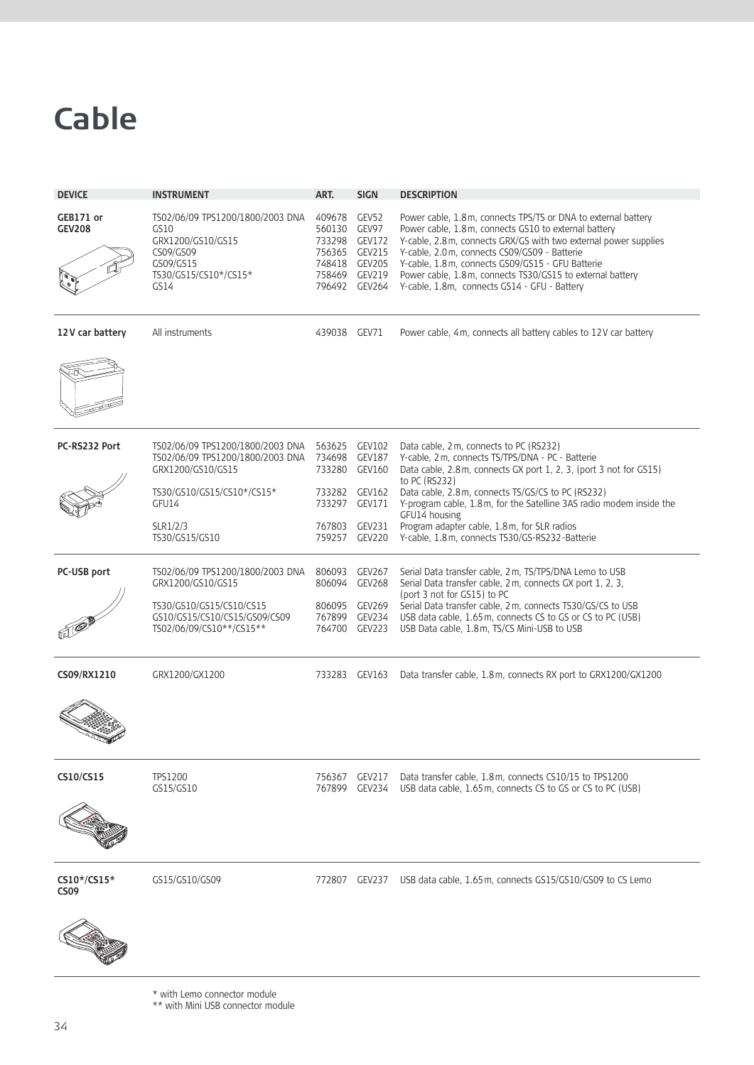## **Cable**

| <b>DEVICE</b>              | <b>INSTRUMENT</b>                                                                                                        | ART.                                                                      | <b>SIGN</b>                                                                      | <b>DESCRIPTION</b>                                                                                                                                                                                                                                                                                                                                                                                             |
|----------------------------|--------------------------------------------------------------------------------------------------------------------------|---------------------------------------------------------------------------|----------------------------------------------------------------------------------|----------------------------------------------------------------------------------------------------------------------------------------------------------------------------------------------------------------------------------------------------------------------------------------------------------------------------------------------------------------------------------------------------------------|
| GEB171 or<br><b>GEV208</b> | TS02/06/09 TPS1200/1800/2003 DNA<br>GS10<br>GRX1200/GS10/GS15<br>CS09/GS09<br>GS09/GS15<br>TS30/GS15/CS10*/CS15*<br>GS14 | 409678<br>560130<br>733298<br>756365<br>748418<br>758469<br>796492 GEV264 | GEV <sub>52</sub><br>GEV97<br><b>GEV172</b><br>GEV215<br><b>GEV205</b><br>GEV219 | Power cable, 1.8 m, connects TPS/TS or DNA to external battery<br>Power cable, 1.8 m, connects GS10 to external battery<br>Y-cable, 2.8 m, connects GRX/GS with two external power supplies<br>Y-cable, 2.0m, connects CS09/GS09 - Batterie<br>Y-cable, 1.8 m, connects GS09/GS15 - GFU Batterie<br>Power cable, 1.8 m, connects TS30/GS15 to external battery<br>Y-cable, 1.8m, connects GS14 - GFU - Battery |
| 12V car battery            | All instruments                                                                                                          | 439038                                                                    | GEV71                                                                            | Power cable, 4m, connects all battery cables to 12V car battery                                                                                                                                                                                                                                                                                                                                                |
|                            |                                                                                                                          |                                                                           |                                                                                  |                                                                                                                                                                                                                                                                                                                                                                                                                |
| PC-RS232 Port              | TS02/06/09 TPS1200/1800/2003 DNA<br>TS02/06/09 TPS1200/1800/2003 DNA<br>GRX1200/GS10/GS15                                | 563625<br>734698<br>733280                                                | <b>GEV102</b><br>GEV187<br><b>GEV160</b>                                         | Data cable, 2 m, connects to PC (RS232)<br>Y-cable, 2 m, connects TS/TPS/DNA - PC - Batterie<br>Data cable, 2.8m, connects GX port 1, 2, 3, (port 3 not for GS15)<br>to PC (RS232)                                                                                                                                                                                                                             |
|                            | TS30/GS10/GS15/CS10*/CS15*<br>GFU14                                                                                      | 733282<br>733297 GEV171                                                   | GEV162                                                                           | Data cable, 2.8m, connects TS/GS/CS to PC (RS232)<br>Y-program cable, 1.8 m, for the Satelline 3AS radio modem inside the<br>GFU14 housing                                                                                                                                                                                                                                                                     |
|                            | SLR1/2/3<br>TS30/GS15/GS10                                                                                               | 767803<br>759257                                                          | <b>GEV231</b><br>GEV220                                                          | Program adapter cable, 1.8m, for SLR radios<br>Y-cable, 1.8 m, connects TS30/GS-RS232-Batterie                                                                                                                                                                                                                                                                                                                 |
| PC-USB port                | TS02/06/09 TPS1200/1800/2003 DNA<br>GRX1200/GS10/GS15                                                                    | 806093<br>806094                                                          | GEV267<br>GEV268                                                                 | Serial Data transfer cable, 2 m, TS/TPS/DNA Lemo to USB<br>Serial Data transfer cable, 2 m, connects GX port 1, 2, 3,<br>(port 3 not for GS15) to PC                                                                                                                                                                                                                                                           |
|                            | TS30/GS10/GS15/CS10/CS15<br>GS10/GS15/CS10/CS15/GS09/CS09<br>TS02/06/09/CS10**/CS15**                                    | 806095<br>767899<br>764700 GEV223                                         | GEV269<br>GEV234                                                                 | Serial Data transfer cable, 2 m, connects TS30/GS/CS to USB<br>USB data cable, 1.65 m, connects CS to GS or CS to PC (USB)<br>USB Data cable, 1.8 m, TS/CS Mini-USB to USB                                                                                                                                                                                                                                     |
| CS09/RX1210                | GRX1200/GX1200                                                                                                           | 733283 GEV163                                                             |                                                                                  | Data transfer cable, 1.8 m, connects RX port to GRX1200/GX1200                                                                                                                                                                                                                                                                                                                                                 |
|                            |                                                                                                                          |                                                                           |                                                                                  |                                                                                                                                                                                                                                                                                                                                                                                                                |
| CS10/CS15                  | TPS1200<br>GS15/GS10                                                                                                     | 756367<br>767899                                                          | GEV217<br><b>GEV234</b>                                                          | Data transfer cable, 1.8 m, connects CS10/15 to TPS1200<br>USB data cable, 1.65 m, connects CS to GS or CS to PC (USB)                                                                                                                                                                                                                                                                                         |
|                            |                                                                                                                          |                                                                           |                                                                                  |                                                                                                                                                                                                                                                                                                                                                                                                                |
| CS10*/CS15*<br><b>CS09</b> | GS15/GS10/GS09                                                                                                           | 772807                                                                    | GEV237                                                                           | USB data cable, 1.65 m, connects GS15/GS10/GS09 to CS Lemo                                                                                                                                                                                                                                                                                                                                                     |
|                            |                                                                                                                          |                                                                           |                                                                                  |                                                                                                                                                                                                                                                                                                                                                                                                                |

\* with Lemo connector module \*\* with Mini USB connector module